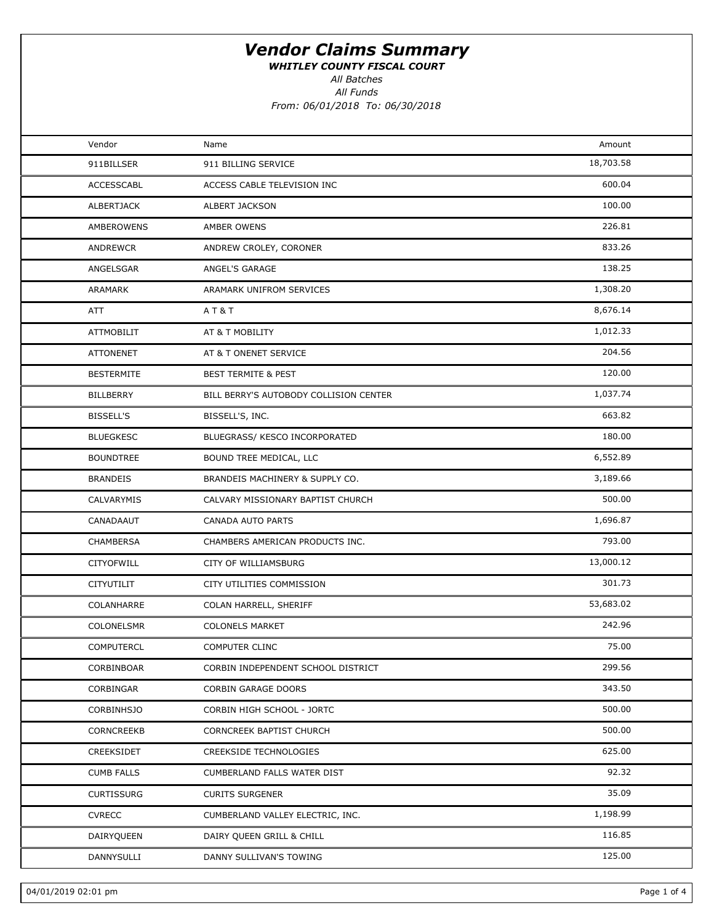WHITLEY COUNTY FISCAL COURT

All Batches

All Funds

| Vendor            | Name                                   | Amount    |  |
|-------------------|----------------------------------------|-----------|--|
| 911BILLSER        | 911 BILLING SERVICE                    | 18,703.58 |  |
| <b>ACCESSCABL</b> | ACCESS CABLE TELEVISION INC            | 600.04    |  |
| ALBERTJACK        | ALBERT JACKSON                         | 100.00    |  |
| AMBEROWENS        | AMBER OWENS                            | 226.81    |  |
| <b>ANDREWCR</b>   | ANDREW CROLEY, CORONER                 | 833.26    |  |
| ANGELSGAR         | ANGEL'S GARAGE                         | 138.25    |  |
| ARAMARK           | ARAMARK UNIFROM SERVICES               | 1,308.20  |  |
| ATT               | AT&T                                   | 8,676.14  |  |
| <b>ATTMOBILIT</b> | AT & T MOBILITY                        | 1,012.33  |  |
| <b>ATTONENET</b>  | AT & T ONENET SERVICE                  | 204.56    |  |
| <b>BESTERMITE</b> | <b>BEST TERMITE &amp; PEST</b>         | 120.00    |  |
| BILLBERRY         | BILL BERRY'S AUTOBODY COLLISION CENTER | 1,037.74  |  |
| BISSELL'S         | BISSELL'S, INC.                        | 663.82    |  |
| <b>BLUEGKESC</b>  | BLUEGRASS/ KESCO INCORPORATED          | 180.00    |  |
| <b>BOUNDTREE</b>  | BOUND TREE MEDICAL, LLC                | 6,552.89  |  |
| <b>BRANDEIS</b>   | BRANDEIS MACHINERY & SUPPLY CO.        | 3,189.66  |  |
| CALVARYMIS        | CALVARY MISSIONARY BAPTIST CHURCH      | 500.00    |  |
| CANADAAUT         | CANADA AUTO PARTS                      | 1,696.87  |  |
| CHAMBERSA         | CHAMBERS AMERICAN PRODUCTS INC.        | 793.00    |  |
| <b>CITYOFWILL</b> | CITY OF WILLIAMSBURG                   | 13,000.12 |  |
| CITYUTILIT        | CITY UTILITIES COMMISSION              | 301.73    |  |
| COLANHARRE        | COLAN HARRELL, SHERIFF                 | 53,683.02 |  |
| COLONELSMR        | <b>COLONELS MARKET</b>                 | 242.96    |  |
| <b>COMPUTERCL</b> | <b>COMPUTER CLINC</b>                  | 75.00     |  |
| CORBINBOAR        | CORBIN INDEPENDENT SCHOOL DISTRICT     | 299.56    |  |
| CORBINGAR         | <b>CORBIN GARAGE DOORS</b>             | 343.50    |  |
| <b>CORBINHSJO</b> | CORBIN HIGH SCHOOL - JORTC             | 500.00    |  |
| CORNCREEKB        | CORNCREEK BAPTIST CHURCH               | 500.00    |  |
| CREEKSIDET        | CREEKSIDE TECHNOLOGIES                 | 625.00    |  |
| <b>CUMB FALLS</b> | CUMBERLAND FALLS WATER DIST            | 92.32     |  |
| <b>CURTISSURG</b> | <b>CURITS SURGENER</b>                 | 35.09     |  |
| <b>CVRECC</b>     | CUMBERLAND VALLEY ELECTRIC, INC.       | 1,198.99  |  |
| DAIRYQUEEN        | DAIRY QUEEN GRILL & CHILL              | 116.85    |  |
| DANNYSULLI        | DANNY SULLIVAN'S TOWING                | 125.00    |  |
|                   |                                        |           |  |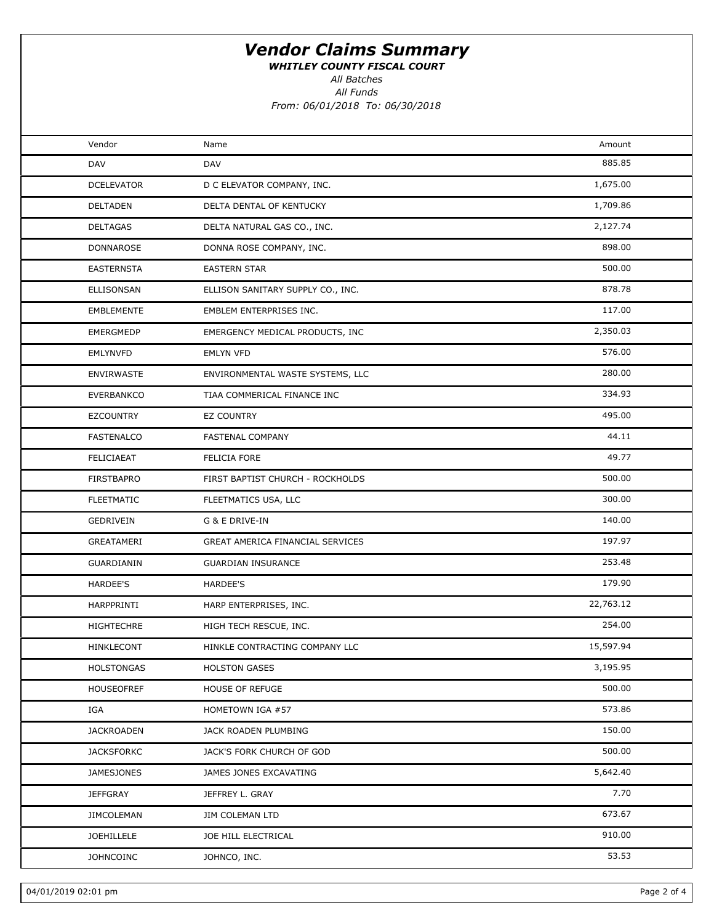WHITLEY COUNTY FISCAL COURT

All Batches

All Funds

| Vendor            | Name                              | Amount    |  |
|-------------------|-----------------------------------|-----------|--|
| DAV               | DAV                               | 885.85    |  |
| <b>DCELEVATOR</b> | D C ELEVATOR COMPANY, INC.        | 1,675.00  |  |
| DELTADEN          | DELTA DENTAL OF KENTUCKY          | 1,709.86  |  |
| DELTAGAS          | DELTA NATURAL GAS CO., INC.       | 2,127.74  |  |
| DONNAROSE         | DONNA ROSE COMPANY, INC.          | 898.00    |  |
| <b>EASTERNSTA</b> | <b>EASTERN STAR</b>               | 500.00    |  |
| ELLISONSAN        | ELLISON SANITARY SUPPLY CO., INC. | 878.78    |  |
| EMBLEMENTE        | EMBLEM ENTERPRISES INC.           | 117.00    |  |
| EMERGMEDP         | EMERGENCY MEDICAL PRODUCTS, INC   | 2,350.03  |  |
| <b>EMLYNVFD</b>   | <b>EMLYN VFD</b>                  | 576.00    |  |
| <b>ENVIRWASTE</b> | ENVIRONMENTAL WASTE SYSTEMS, LLC  | 280.00    |  |
| EVERBANKCO        | TIAA COMMERICAL FINANCE INC       | 334.93    |  |
| <b>EZCOUNTRY</b>  | <b>EZ COUNTRY</b>                 | 495.00    |  |
| FASTENALCO        | FASTENAL COMPANY                  | 44.11     |  |
| FELICIAEAT        | FELICIA FORE                      | 49.77     |  |
| FIRSTBAPRO        | FIRST BAPTIST CHURCH - ROCKHOLDS  | 500.00    |  |
| <b>FLEETMATIC</b> | FLEETMATICS USA, LLC              | 300.00    |  |
| GEDRIVEIN         | G & E DRIVE-IN                    | 140.00    |  |
| GREATAMERI        | GREAT AMERICA FINANCIAL SERVICES  | 197.97    |  |
| GUARDIANIN        | <b>GUARDIAN INSURANCE</b>         | 253.48    |  |
| HARDEE'S          | HARDEE'S                          | 179.90    |  |
| HARPPRINTI        | HARP ENTERPRISES, INC.            | 22,763.12 |  |
| HIGHTECHRE        | HIGH TECH RESCUE, INC.            | 254.00    |  |
| <b>HINKLECONT</b> | HINKLE CONTRACTING COMPANY LLC    | 15,597.94 |  |
| <b>HOLSTONGAS</b> | <b>HOLSTON GASES</b>              | 3,195.95  |  |
| HOUSEOFREF        | <b>HOUSE OF REFUGE</b>            | 500.00    |  |
| IGA               | HOMETOWN IGA #57                  | 573.86    |  |
| <b>JACKROADEN</b> | JACK ROADEN PLUMBING              | 150.00    |  |
| <b>JACKSFORKC</b> | JACK'S FORK CHURCH OF GOD         | 500.00    |  |
| <b>JAMESJONES</b> | JAMES JONES EXCAVATING            | 5,642.40  |  |
| JEFFGRAY          | JEFFREY L. GRAY                   | 7.70      |  |
| JIMCOLEMAN        | <b>JIM COLEMAN LTD</b>            | 673.67    |  |
| <b>JOEHILLELE</b> | JOE HILL ELECTRICAL               | 910.00    |  |
| <b>JOHNCOINC</b>  | JOHNCO, INC.                      | 53.53     |  |
|                   |                                   |           |  |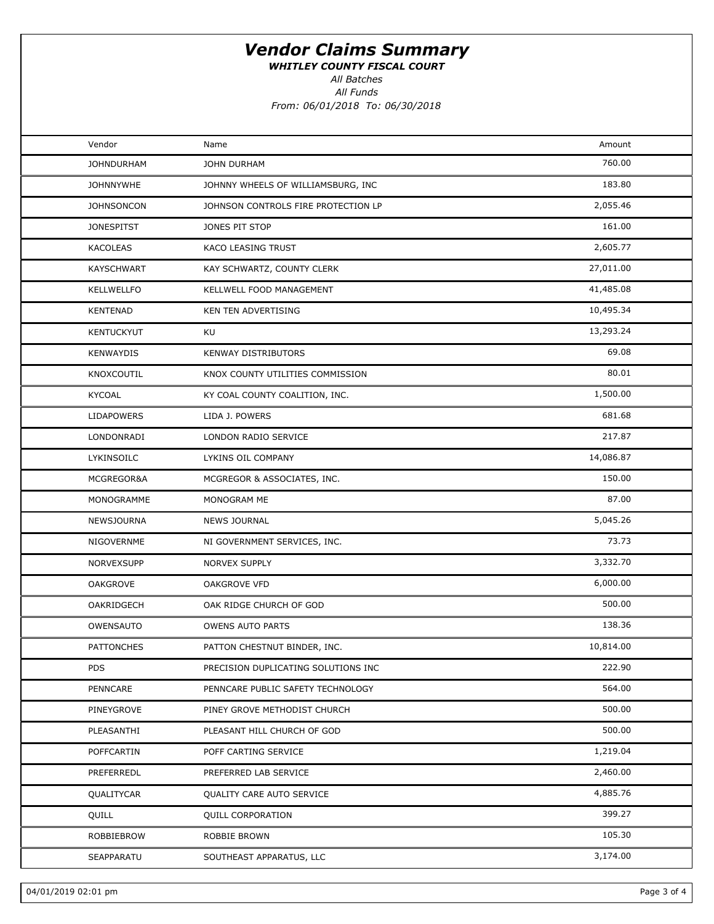WHITLEY COUNTY FISCAL COURT

All Batches

All Funds

| Vendor            | Name                                | Amount    |  |
|-------------------|-------------------------------------|-----------|--|
| <b>JOHNDURHAM</b> | JOHN DURHAM                         | 760.00    |  |
| <b>JOHNNYWHE</b>  | JOHNNY WHEELS OF WILLIAMSBURG, INC  | 183.80    |  |
| <b>JOHNSONCON</b> | JOHNSON CONTROLS FIRE PROTECTION LP | 2,055.46  |  |
| <b>JONESPITST</b> | JONES PIT STOP                      | 161.00    |  |
| KACOLEAS          | KACO LEASING TRUST                  | 2,605.77  |  |
| <b>KAYSCHWART</b> | KAY SCHWARTZ, COUNTY CLERK          | 27,011.00 |  |
| <b>KELLWELLFO</b> | KELLWELL FOOD MANAGEMENT            | 41,485.08 |  |
| <b>KENTENAD</b>   | KEN TEN ADVERTISING                 | 10,495.34 |  |
| <b>KENTUCKYUT</b> | KU                                  | 13,293.24 |  |
| <b>KENWAYDIS</b>  | KENWAY DISTRIBUTORS                 | 69.08     |  |
| KNOXCOUTIL        | KNOX COUNTY UTILITIES COMMISSION    | 80.01     |  |
| KYCOAL            | KY COAL COUNTY COALITION, INC.      | 1,500.00  |  |
| <b>LIDAPOWERS</b> | LIDA J. POWERS                      | 681.68    |  |
| LONDONRADI        | LONDON RADIO SERVICE                | 217.87    |  |
| LYKINSOILC        | LYKINS OIL COMPANY                  | 14,086.87 |  |
| MCGREGOR&A        | MCGREGOR & ASSOCIATES, INC.         | 150.00    |  |
| MONOGRAMME        | MONOGRAM ME                         | 87.00     |  |
| NEWSJOURNA        | <b>NEWS JOURNAL</b>                 | 5,045.26  |  |
| NIGOVERNME        | NI GOVERNMENT SERVICES, INC.        | 73.73     |  |
| NORVEXSUPP        | <b>NORVEX SUPPLY</b>                | 3,332.70  |  |
| <b>OAKGROVE</b>   | <b>OAKGROVE VFD</b>                 | 6,000.00  |  |
| OAKRIDGECH        | OAK RIDGE CHURCH OF GOD             | 500.00    |  |
| OWENSAUTO         | <b>OWENS AUTO PARTS</b>             | 138.36    |  |
| <b>PATTONCHES</b> | PATTON CHESTNUT BINDER, INC.        | 10,814.00 |  |
| <b>PDS</b>        | PRECISION DUPLICATING SOLUTIONS INC | 222.90    |  |
| PENNCARE          | PENNCARE PUBLIC SAFETY TECHNOLOGY   | 564.00    |  |
| PINEYGROVE        | PINEY GROVE METHODIST CHURCH        | 500.00    |  |
| PLEASANTHI        | PLEASANT HILL CHURCH OF GOD         | 500.00    |  |
| POFFCARTIN        | POFF CARTING SERVICE                | 1,219.04  |  |
| PREFERREDL        | PREFERRED LAB SERVICE               | 2,460.00  |  |
| QUALITYCAR        | QUALITY CARE AUTO SERVICE           | 4,885.76  |  |
| QUILL             | <b>QUILL CORPORATION</b>            | 399.27    |  |
| ROBBIEBROW        | ROBBIE BROWN                        | 105.30    |  |
| SEAPPARATU        | SOUTHEAST APPARATUS, LLC            | 3,174.00  |  |